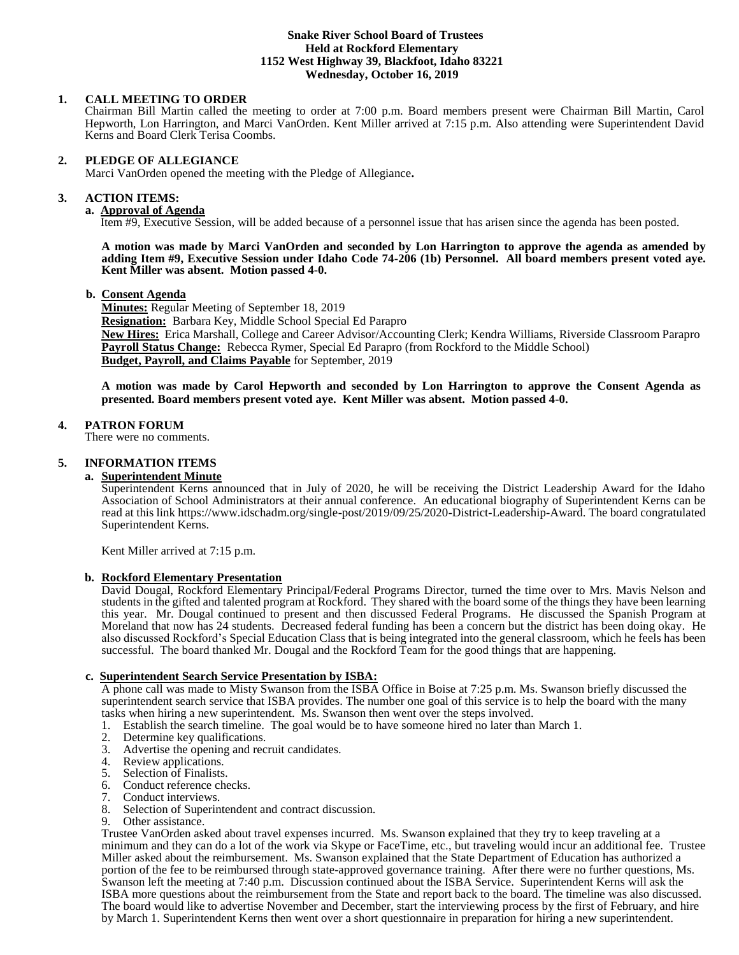### **Snake River School Board of Trustees Held at Rockford Elementary 1152 West Highway 39, Blackfoot, Idaho 83221 Wednesday, October 16, 2019**

# **1. CALL MEETING TO ORDER**

Chairman Bill Martin called the meeting to order at 7:00 p.m. Board members present were Chairman Bill Martin, Carol Hepworth, Lon Harrington, and Marci VanOrden. Kent Miller arrived at 7:15 p.m. Also attending were Superintendent David Kerns and Board Clerk Terisa Coombs.

### **2. PLEDGE OF ALLEGIANCE**

Marci VanOrden opened the meeting with the Pledge of Allegiance**.** 

## **3. ACTION ITEMS:**

**a. Approval of Agenda**

Item #9, Executive Session, will be added because of a personnel issue that has arisen since the agenda has been posted.

**A motion was made by Marci VanOrden and seconded by Lon Harrington to approve the agenda as amended by adding Item #9, Executive Session under Idaho Code 74-206 (1b) Personnel. All board members present voted aye. Kent Miller was absent. Motion passed 4-0.**

## **b. Consent Agenda**

**Minutes:** Regular Meeting of September 18, 2019 **Resignation:** Barbara Key, Middle School Special Ed Parapro **New Hires:** Erica Marshall, College and Career Advisor/Accounting Clerk; Kendra Williams, Riverside Classroom Parapro **Payroll Status Change:** Rebecca Rymer, Special Ed Parapro (from Rockford to the Middle School) **Budget, Payroll, and Claims Payable** for September, 2019

**A motion was made by Carol Hepworth and seconded by Lon Harrington to approve the Consent Agenda as presented. Board members present voted aye. Kent Miller was absent. Motion passed 4-0.**

## **4. PATRON FORUM**

There were no comments.

# **5. INFORMATION ITEMS**

### **a. Superintendent Minute**

Superintendent Kerns announced that in July of 2020, he will be receiving the District Leadership Award for the Idaho Association of School Administrators at their annual conference. An educational biography of Superintendent Kerns can be read at this link https://www.idschadm.org/single-post/2019/09/25/2020-District-Leadership-Award. The board congratulated Superintendent Kerns.

Kent Miller arrived at 7:15 p.m.

## **b. Rockford Elementary Presentation**

David Dougal, Rockford Elementary Principal/Federal Programs Director, turned the time over to Mrs. Mavis Nelson and students in the gifted and talented program at Rockford. They shared with the board some of the things they have been learning this year. Mr. Dougal continued to present and then discussed Federal Programs. He discussed the Spanish Program at Moreland that now has 24 students. Decreased federal funding has been a concern but the district has been doing okay. He also discussed Rockford's Special Education Class that is being integrated into the general classroom, which he feels has been successful. The board thanked Mr. Dougal and the Rockford Team for the good things that are happening.

## **c. Superintendent Search Service Presentation by ISBA:**

A phone call was made to Misty Swanson from the ISBA Office in Boise at 7:25 p.m. Ms. Swanson briefly discussed the superintendent search service that ISBA provides. The number one goal of this service is to help the board with the many tasks when hiring a new superintendent. Ms. Swanson then went over the steps involved.

- 1. Establish the search timeline. The goal would be to have someone hired no later than March 1.
- 2. Determine key qualifications.
- 3. Advertise the opening and recruit candidates.
- 4. Review applications.
- 5. Selection of Finalists.
- 6. Conduct reference checks.
- 7. Conduct interviews.<br>8. Selection of Superin
- 8. Selection of Superintendent and contract discussion.<br>9. Other assistance.
- Other assistance.

Trustee VanOrden asked about travel expenses incurred. Ms. Swanson explained that they try to keep traveling at a minimum and they can do a lot of the work via Skype or FaceTime, etc., but traveling would incur an additional fee. Trustee Miller asked about the reimbursement. Ms. Swanson explained that the State Department of Education has authorized a portion of the fee to be reimbursed through state-approved governance training. After there were no further questions, Ms. Swanson left the meeting at 7:40 p.m. Discussion continued about the ISBA Service. Superintendent Kerns will ask the ISBA more questions about the reimbursement from the State and report back to the board. The timeline was also discussed. The board would like to advertise November and December, start the interviewing process by the first of February, and hire by March 1. Superintendent Kerns then went over a short questionnaire in preparation for hiring a new superintendent.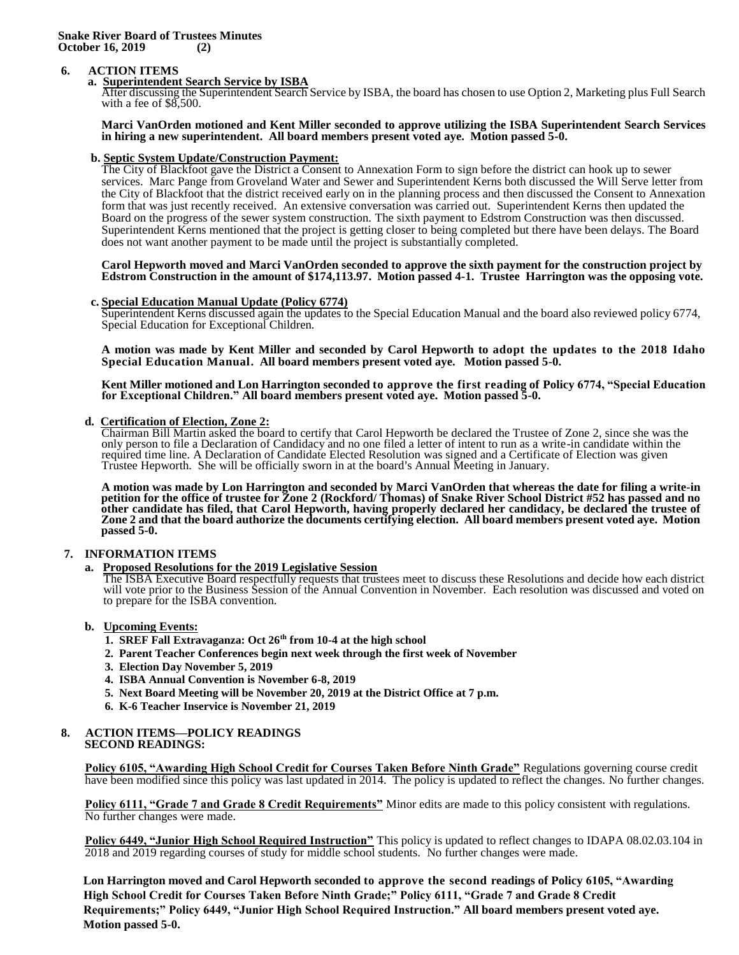### **Snake River Board of Trustees Minutes October 16, 2019 (2)**

## **6. ACTION ITEMS**

## **a. Superintendent Search Service by ISBA**

After discussing the Superintendent Search Service by ISBA, the board has chosen to use Option 2, Marketing plus Full Search with a fee of \$8,500.

#### **Marci VanOrden motioned and Kent Miller seconded to approve utilizing the ISBA Superintendent Search Services in hiring a new superintendent. All board members present voted aye. Motion passed 5-0.**

### **b. Septic System Update/Construction Payment:**

The City of Blackfoot gave the District a Consent to Annexation Form to sign before the district can hook up to sewer services. Marc Pange from Groveland Water and Sewer and Superintendent Kerns both discussed the Will Serve letter from the City of Blackfoot that the district received early on in the planning process and then discussed the Consent to Annexation form that was just recently received. An extensive conversation was carried out. Superintendent Kerns then updated the Board on the progress of the sewer system construction. The sixth payment to Edstrom Construction was then discussed. Superintendent Kerns mentioned that the project is getting closer to being completed but there have been delays. The Board does not want another payment to be made until the project is substantially completed.

#### **Carol Hepworth moved and Marci VanOrden seconded to approve the sixth payment for the construction project by Edstrom Construction in the amount of \$174,113.97. Motion passed 4-1. Trustee Harrington was the opposing vote.**

# **c. Special Education Manual Update (Policy 6774)**

Superintendent Kerns discussed again the updates to the Special Education Manual and the board also reviewed policy 6774, Special Education for Exceptional Children.

**A motion was made by Kent Miller and seconded by Carol Hepworth to adopt the updates to the 2018 Idaho Special Education Manual. All board members present voted aye. Motion passed 5-0.**

**Kent Miller motioned and Lon Harrington seconded to approve the first reading of Policy 6774, "Special Education for Exceptional Children." All board members present voted aye. Motion passed 5-0.**

## **d. Certification of Election, Zone 2:**

Chairman Bill Martin asked the board to certify that Carol Hepworth be declared the Trustee of Zone 2, since she was the only person to file a Declaration of Candidacy and no one filed a letter of intent to run as a write-in candidate within the required time line. A Declaration of Candidate Elected Resolution was signed and a Certificate of Election was given Trustee Hepworth. She will be officially sworn in at the board's Annual Meeting in January.

**A motion was made by Lon Harrington and seconded by Marci VanOrden that whereas the date for filing a write-in petition for the office of trustee for Zone 2 (Rockford/ Thomas) of Snake River School District #52 has passed and no other candidate has filed, that Carol Hepworth, having properly declared her candidacy, be declared the trustee of Zone 2 and that the board authorize the documents certifying election. All board members present voted aye. Motion passed 5-0.**

## **7. INFORMATION ITEMS**

**a. Proposed Resolutions for the 2019 Legislative Session** 

The ISBA Executive Board respectfully requests that trustees meet to discuss these Resolutions and decide how each district will vote prior to the Business Session of the Annual Convention in November. Each resolution was discussed and voted on to prepare for the ISBA convention.

## **b. Upcoming Events:**

- **1. SREF Fall Extravaganza: Oct 26th from 10-4 at the high school**
- **2. Parent Teacher Conferences begin next week through the first week of November**
- **3. Election Day November 5, 2019**
- **4. ISBA Annual Convention is November 6-8, 2019**
- **5. Next Board Meeting will be November 20, 2019 at the District Office at 7 p.m.**
- **6. K-6 Teacher Inservice is November 21, 2019**

#### **8. ACTION ITEMS—POLICY READINGS SECOND READINGS:**

**Policy 6105, "Awarding High School Credit for Courses Taken Before Ninth Grade"** Regulations governing course credit have been modified since this policy was last updated in 2014. The policy is updated to reflect the changes. No further changes.

**Policy 6111, "Grade 7 and Grade 8 Credit Requirements"** Minor edits are made to this policy consistent with regulations. No further changes were made.

**Policy 6449, "Junior High School Required Instruction"** This policy is updated to reflect changes to IDAPA 08.02.03.104 in 2018 and 2019 regarding courses of study for middle school students. No further changes were made.

**Lon Harrington moved and Carol Hepworth seconded to approve the second readings of Policy 6105, "Awarding High School Credit for Courses Taken Before Ninth Grade;" Policy 6111, "Grade 7 and Grade 8 Credit Requirements;" Policy 6449, "Junior High School Required Instruction." All board members present voted aye. Motion passed 5-0.**